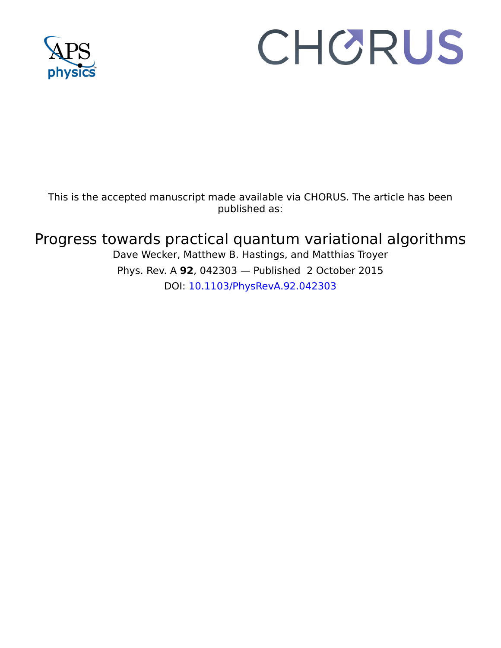

# CHORUS

This is the accepted manuscript made available via CHORUS. The article has been published as:

# Progress towards practical quantum variational algorithms

Dave Wecker, Matthew B. Hastings, and Matthias Troyer Phys. Rev. A **92**, 042303 — Published 2 October 2015 DOI: [10.1103/PhysRevA.92.042303](http://dx.doi.org/10.1103/PhysRevA.92.042303)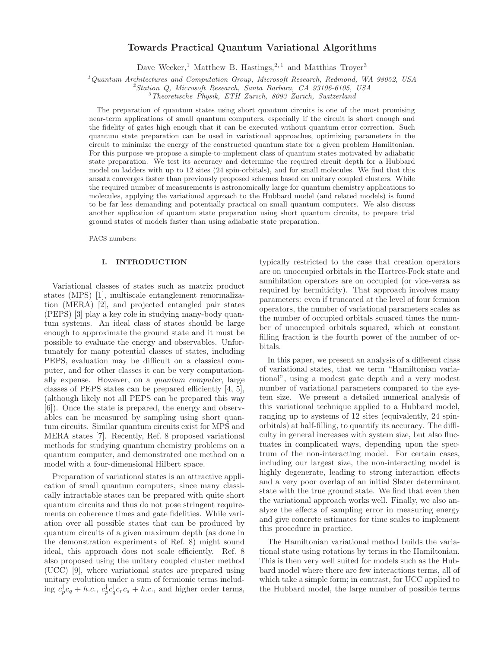# Towards Practical Quantum Variational Algorithms

Dave Wecker,<sup>1</sup> Matthew B. Hastings,<sup>2,1</sup> and Matthias Troyer<sup>3</sup>

 $1$ Quantum Architectures and Computation Group, Microsoft Research, Redmond, WA 98052, USA

<sup>2</sup>Station Q, Microsoft Research, Santa Barbara, CA 93106-6105, USA

 $3$ Theoretische Physik, ETH Zurich, 8093 Zurich, Switzerland

The preparation of quantum states using short quantum circuits is one of the most promising near-term applications of small quantum computers, especially if the circuit is short enough and the fidelity of gates high enough that it can be executed without quantum error correction. Such quantum state preparation can be used in variational approaches, optimizing parameters in the circuit to minimize the energy of the constructed quantum state for a given problem Hamiltonian. For this purpose we propose a simple-to-implement class of quantum states motivated by adiabatic state preparation. We test its accuracy and determine the required circuit depth for a Hubbard model on ladders with up to 12 sites (24 spin-orbitals), and for small molecules. We find that this ansatz converges faster than previously proposed schemes based on unitary coupled clusters. While the required number of measurements is astronomically large for quantum chemistry applications to molecules, applying the variational approach to the Hubbard model (and related models) is found to be far less demanding and potentially practical on small quantum computers. We also discuss another application of quantum state preparation using short quantum circuits, to prepare trial ground states of models faster than using adiabatic state preparation.

PACS numbers:

# I. INTRODUCTION

Variational classes of states such as matrix product states (MPS) [1], multiscale entanglement renormalization (MERA) [2], and projected entangled pair states (PEPS) [3] play a key role in studying many-body quantum systems. An ideal class of states should be large enough to approximate the ground state and it must be possible to evaluate the energy and observables. Unfortunately for many potential classes of states, including PEPS, evaluation may be difficult on a classical computer, and for other classes it can be very computationally expense. However, on a quantum computer, large classes of PEPS states can be prepared efficiently [4, 5], (although likely not all PEPS can be prepared this way [6]). Once the state is prepared, the energy and observables can be measured by sampling using short quantum circuits. Similar quantum circuits exist for MPS and MERA states [7]. Recently, Ref. 8 proposed variational methods for studying quantum chemistry problems on a quantum computer, and demonstrated one method on a model with a four-dimensional Hilbert space.

Preparation of variational states is an attractive application of small quantum computers, since many classically intractable states can be prepared with quite short quantum circuits and thus do not pose stringent requirements on coherence times and gate fidelities. While variation over all possible states that can be produced by quantum circuits of a given maximum depth (as done in the demonstration experiments of Ref. 8) might sound ideal, this approach does not scale efficiently. Ref. 8 also proposed using the unitary coupled cluster method (UCC) [9], where variational states are prepared using unitary evolution under a sum of fermionic terms including  $c_p^{\dagger}c_q + h.c., c_p^{\dagger}c_q^{\dagger}c_r c_s + h.c.,$  and higher order terms,

typically restricted to the case that creation operators are on unoccupied orbitals in the Hartree-Fock state and annihilation operators are on occupied (or vice-versa as required by hermiticity). That approach involves many parameters: even if truncated at the level of four fermion operators, the number of variational parameters scales as the number of occupied orbitals squared times the number of unoccupied orbitals squared, which at constant filling fraction is the fourth power of the number of orbitals.

In this paper, we present an analysis of a different class of variational states, that we term "Hamiltonian variational", using a modest gate depth and a very modest number of variational parameters compared to the system size. We present a detailed numerical analysis of this variational technique applied to a Hubbard model, ranging up to systems of 12 sites (equivalently, 24 spinorbitals) at half-filling, to quantify its accuracy. The difficulty in general increases with system size, but also fluctuates in complicated ways, depending upon the spectrum of the non-interacting model. For certain cases, including our largest size, the non-interacting model is highly degenerate, leading to strong interaction effects and a very poor overlap of an initial Slater determinant state with the true ground state. We find that even then the variational approach works well. Finally, we also analyze the effects of sampling error in measuring energy and give concrete estimates for time scales to implement this procedure in practice.

The Hamiltonian variational method builds the variational state using rotations by terms in the Hamiltonian. This is then very well suited for models such as the Hubbard model where there are few interactions terms, all of which take a simple form; in contrast, for UCC applied to the Hubbard model, the large number of possible terms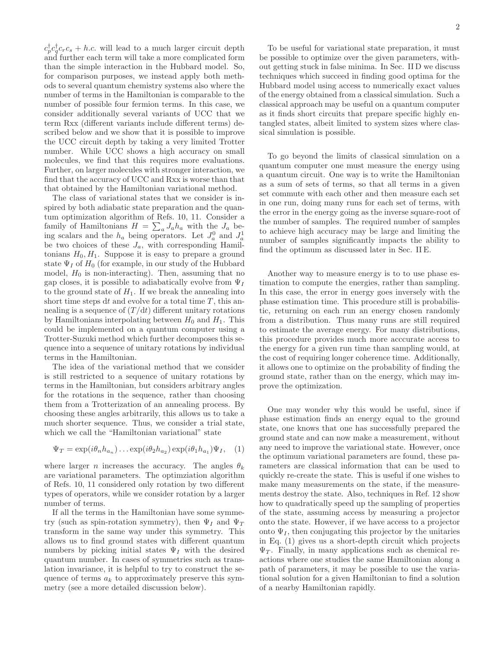$c_p^{\dagger} c_q^{\dagger} c_r c_s + h.c.$  will lead to a much larger circuit depth and further each term will take a more complicated form than the simple interaction in the Hubbard model. So, for comparison purposes, we instead apply both methods to several quantum chemistry systems also where the number of terms in the Hamiltonian is comparable to the number of possible four fermion terms. In this case, we consider additionally several variants of UCC that we term Rxx (different variants include different terms) described below and we show that it is possible to improve the UCC circuit depth by taking a very limited Trotter number. While UCC shows a high accuracy on small molecules, we find that this requires more evaluations. Further, on larger molecules with stronger interaction, we find that the accuracy of UCC and Rxx is worse than that that obtained by the Hamiltonian variational method.

The class of variational states that we consider is inspired by both adiabatic state preparation and the quantum optimization algorithm of Refs. 10, 11. Consider a family of Hamiltonians  $H = \sum_a J_a h_a$  with the  $J_a$  being scalars and the  $h_a$  being operators. Let  $J_a^0$  and  $J_a^1$ be two choices of these  $J_a$ , with corresponding Hamiltonians  $H_0, H_1$ . Suppose it is easy to prepare a ground state  $\Psi_I$  of  $H_0$  (for example, in our study of the Hubbard model,  $H_0$  is non-interacting). Then, assuming that no gap closes, it is possible to adiabatically evolve from  $\Psi_I$ to the ground state of  $H_1$ . If we break the annealing into short time steps dt and evolve for a total time  $T$ , this annealing is a sequence of  $(T/dt)$  different unitary rotations by Hamiltonians interpolating between  $H_0$  and  $H_1$ . This could be implemented on a quantum computer using a Trotter-Suzuki method which further decomposes this sequence into a sequence of unitary rotations by individual terms in the Hamiltonian.

The idea of the variational method that we consider is still restricted to a sequence of unitary rotations by terms in the Hamiltonian, but considers arbitrary angles for the rotations in the sequence, rather than choosing them from a Trotterization of an annealing process. By choosing these angles arbitrarily, this allows us to take a much shorter sequence. Thus, we consider a trial state, which we call the "Hamiltonian variational" state

$$
\Psi_T = \exp(i\theta_n h_{a_n}) \dots \exp(i\theta_2 h_{a_2}) \exp(i\theta_1 h_{a_1}) \Psi_I, \quad (1)
$$

where larger *n* increases the accuracy. The angles  $\theta_k$ are variational parameters. The optimziation algorithm of Refs. 10, 11 considered only rotation by two different types of operators, while we consider rotation by a larger number of terms.

If all the terms in the Hamiltonian have some symmetry (such as spin-rotation symmetry), then  $\Psi_I$  and  $\Psi_T$ transform in the same way under this symmetry. This allows us to find ground states with different quantum numbers by picking initial states  $\Psi_I$  with the desired quantum number. In cases of symmetries such as translation invariance, it is helpful to try to construct the sequence of terms  $a_k$  to approximately preserve this symmetry (see a more detailed discussion below).

To be useful for variational state preparation, it must be possible to optimize over the given parameters, without getting stuck in false minima. In Sec. II D we discuss techniques which succeed in finding good optima for the Hubbard model using access to numerically exact values of the energy obtained from a classical simulation. Such a classical approach may be useful on a quantum computer as it finds short circuits that prepare specific highly entangled states, albeit limited to system sizes where classical simulation is possible.

To go beyond the limits of classical simulation on a quantum computer one must measure the energy using a quantum circuit. One way is to write the Hamiltonian as a sum of sets of terms, so that all terms in a given set commute with each other and then measure each set in one run, doing many runs for each set of terms, with the error in the energy going as the inverse square-root of the number of samples. The required number of samples to achieve high accuracy may be large and limiting the number of samples significantly impacts the ability to find the optimum as discussed later in Sec. II E.

Another way to measure energy is to to use phase estimation to compute the energies, rather than sampling. In this case, the error in energy goes inversely with the phase estimation time. This procedure still is probabilistic, returning on each run an energy chosen randomly from a distribution. Thus many runs are still required to estimate the average energy. For many distributions, this procedure provides much more acccurate access to the energy for a given run time than sampling would, at the cost of requiring longer coherence time. Additionally, it allows one to optimize on the probability of finding the ground state, rather than on the energy, which may improve the optimization.

One may wonder why this would be useful, since if phase estimation finds an energy equal to the ground state, one knows that one has successfully prepared the ground state and can now make a measurement, without any need to improve the variational state. However, once the optimum variational parameters are found, these parameters are classical information that can be used to quickly re-create the state. This is useful if one wishes to make many measurements on the state, if the measurements destroy the state. Also, techniques in Ref. 12 show how to quadratically speed up the sampling of properties of the state, assuming access by measuring a projector onto the state. However, if we have access to a projector onto  $\Psi_I$ , then conjugating this projector by the unitaries in Eq. (1) gives us a short-depth circuit which projects  $\Psi_T$ . Finally, in many applications such as chemical reactions where one studies the same Hamiltonian along a path of parameters, it may be possible to use the variational solution for a given Hamiltonian to find a solution of a nearby Hamiltonian rapidly.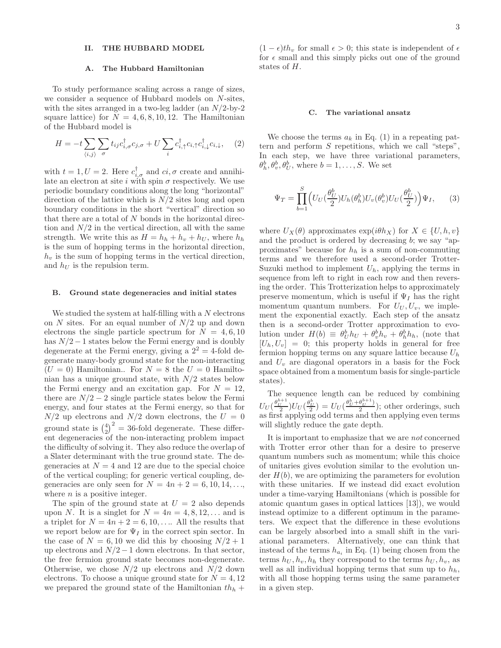# II. THE HUBBARD MODEL

#### A. The Hubbard Hamiltonian

To study performance scaling across a range of sizes, we consider a sequence of Hubbard models on N-sites, with the sites arranged in a two-leg ladder (an  $N/2$ -by-2 square lattice) for  $N = 4, 6, 8, 10, 12$ . The Hamiltonian of the Hubbard model is

$$
H = -t \sum_{\langle i,j \rangle} \sum_{\sigma} t_{ij} c_{i,\sigma}^{\dagger} c_{j,\sigma} + U \sum_{i} c_{i,\uparrow}^{\dagger} c_{i,\uparrow} c_{i,\downarrow}^{\dagger} c_{i,\downarrow}, \quad (2)
$$

with  $t = 1, U = 2$ . Here  $c_{i, \sigma}^{\dagger}$  and  $ci, \sigma$  create and annihilate an electron at site i with spin  $\sigma$  respectively. We use periodic boundary conditions along the long "horizontal" direction of the lattice which is  $N/2$  sites long and open boundary conditions in the short "vertical" direction so that there are a total of N bonds in the horizontal direction and  $N/2$  in the vertical direction, all with the same strength. We write this as  $H = h_h + h_v + h_U$ , where  $h_h$ is the sum of hopping terms in the horizontal direction,  $h<sub>v</sub>$  is the sum of hopping terms in the vertical direction, and  $h_U$  is the repulsion term.

#### B. Ground state degeneracies and initial states

We studied the system at half-filling with a  $N$  electrons on  $N$  sites. For an equal number of  $N/2$  up and down electrons the single particle spectrum for  $N = 4, 6, 10$ has  $N/2 - 1$  states below the Fermi energy and is doubly degenerate at the Fermi energy, giving a  $2^2 = 4$ -fold degenerate many-body ground state for the non-interacting  $(U = 0)$  Hamiltonian.. For  $N = 8$  the  $U = 0$  Hamiltonian has a unique ground state, with  $N/2$  states below the Fermi energy and an excitation gap. For  $N = 12$ , there are  $N/2 - 2$  single particle states below the Fermi energy, and four states at the Fermi energy, so that for  $N/2$  up electrons and  $N/2$  down electrons, the  $U = 0$ ground state is  $\binom{4}{2}^2 = 36$ -fold degenerate. These different degeneracies of the non-interacting problem impact the difficulty of solving it. They also reduce the overlap of a Slater determinant with the true ground state. The degeneracies at  $N = 4$  and 12 are due to the special choice of the vertical coupling; for generic vertical coupling, degeneracies are only seen for  $N = 4n + 2 = 6, 10, 14, \ldots$ where  $n$  is a positive integer.

The spin of the ground state at  $U = 2$  also depends upon N. It is a singlet for  $N = 4n = 4, 8, 12, \dots$  and is a triplet for  $N = 4n + 2 = 6, 10, \dots$  All the results that we report below are for  $\Psi_I$  in the correct spin sector. In the case of  $N = 6, 10$  we did this by choosing  $N/2 + 1$ up electrons and  $N/2-1$  down electrons. In that sector, the free fermion ground state becomes non-degenerate. Otherwise, we chose  $N/2$  up electrons and  $N/2$  down electrons. To choose a unique ground state for  $N = 4, 12$ we prepared the ground state of the Hamiltonian  $th_h +$ 

 $(1 - \epsilon)th_v$  for small  $\epsilon > 0$ ; this state is independent of  $\epsilon$ for  $\epsilon$  small and this simply picks out one of the ground states of H.

# C. The variational ansatz

We choose the terms  $a_k$  in Eq. (1) in a repeating pattern and perform S repetitions, which we call "steps", In each step, we have three variational parameters,  $\theta_h^b, \theta_v^b, \theta_U^b$ , where  $b = 1, \ldots, S$ . We set

$$
\Psi_T = \prod_{b=1}^S \left( U_U \left( \frac{\theta_U^b}{2} \right) U_h(\theta_h^b) U_v(\theta_v^b) U_U \left( \frac{\theta_U^b}{2} \right) \right) \Psi_I, \qquad (3)
$$

where  $U_X(\theta)$  approximates  $\exp(i\theta h_X)$  for  $X \in \{U, h, v\}$ and the product is ordered by decreasing b; we say "approximates" because for  $h_h$  is a sum of non-commuting terms and we therefore used a second-order Trotter-Suzuki method to implement  $U_h$ , applying the terms in sequence from left to right in each row and then reversing the order. This Trotterization helps to approximately preserve momentum, which is useful if  $\Psi_I$  has the right momentum quantum numbers. For  $U_U, U_v$ , we implement the exponential exactly. Each step of the ansatz then is a second-order Trotter approximation to evolution under  $H(b) \equiv \theta_U^b h_U + \theta_v^b h_v + \theta_h^b h_h$ , (note that  $[U_h, U_v] = 0$ ; this property holds in general for free fermion hopping terms on any square lattice because  $U_h$ and  $U_v$  are diagonal operators in a basis for the Fock space obtained from a momentum basis for single-particle states).

The sequence length can be reduced by combining  $U_U(\frac{\theta_U^{b+1}}{2})U_U(\frac{\theta_U^b}{2}) = U_U(\frac{\theta_U^b + \theta_U^{b+1}}{2})$  $\frac{v_U}{2}$ ); other orderings, such as first applying odd terms and then applying even terms will slightly reduce the gate depth.

It is important to emphasize that we are not concerned with Trotter error other than for a desire to preserve quantum numbers such as momentum; while this choice of unitaries gives evolution similar to the evolution under  $H(b)$ , we are optimizing the parameters for evolution with these unitaries. If we instead did exact evolution under a time-varying Hamiltonians (which is possible for atomic quantum gases in optical lattices [13]), we would instead optimize to a different optimum in the parameters. We expect that the difference in these evolutions can be largely absorbed into a small shift in the variational parameters. Alternatively, one can think that instead of the terms  $h_{a_i}$  in Eq. (1) being chosen from the terms  $h_U, h_v, h_h$  they correspond to the terms  $h_U, h_v$ , as well as all individual hopping terms that sum up to  $h_h$ , with all those hopping terms using the same parameter in a given step.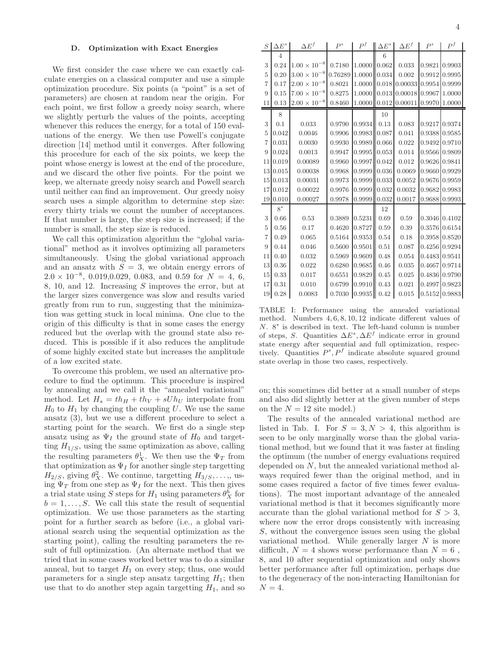#### D. Optimization with Exact Energies

We first consider the case where we can exactly calculate energies on a classical computer and use a simple optimization procedure. Six points (a "point" is a set of parameters) are chosen at random near the origin. For each point, we first follow a greedy noisy search, where we slightly perturb the values of the points, accepting whenever this reduces the energy, for a total of 150 evaluations of the energy. We then use Powell's conjugate direction [14] method until it converges. After following this procedure for each of the six points, we keep the point whose energy is lowest at the end of the procedure, and we discard the other five points. For the point we keep, we alternate greedy noisy search and Powell search until neither can find an improvement. Our greedy noisy search uses a simple algorithm to determine step size: every thirty trials we count the number of acceptances. If that number is large, the step size is increased; if the number is small, the step size is reduced.

We call this optimization algorithm the "global variational" method as it involves optimizing all parameters simultaneously. Using the global variational approach and an ansatz with  $S = 3$ , we obtain energy errors of  $2.0 \times 10^{-8}$ , 0.019,0.029, 0.083, and 0.59 for  $N = 4, 6$ , 8, 10, and 12. Increasing S improves the error, but at the larger sizes convergence was slow and results varied greatly from run to run, suggesting that the minimization was getting stuck in local minima. One clue to the origin of this difficulty is that in some cases the energy reduced but the overlap with the ground state also reduced. This is possible if it also reduces the amplitude of some highly excited state but increases the amplitude of a low excited state.

To overcome this problem, we used an alternative procedure to find the optimum. This procedure is inspired by annealing and we call it the "annealed variational" method. Let  $H_s = th_H + th_V + sUh_U$  interpolate from  $H_0$  to  $H_1$  by changing the coupling U. We use the same ansatz (3), but we use a different procedure to select a starting point for the search. We first do a single step ansatz using as  $\Psi_I$  the ground state of  $H_0$  and targetting  $H_{1/S}$ , using the same optimization as above, calling the resulting parameters  $\theta_X^1$ . We then use the  $\Psi_T$  from that optimization as  $\Psi_I$  for another single step targetting  $H_{2/S}$ , giving  $\theta_X^2$ . We continue, targetting  $H_{3/S}, \ldots$ , using  $\Psi_T$  from one step as  $\Psi_I$  for the next. This then gives a trial state using S steps for  $H_1$  using parameters  $\theta_X^b$  for  $b = 1, \ldots, S$ . We call this state the result of sequential optimization. We use those parameters as the starting point for a further search as before (i.e., a global variational search using the sequential optimization as the starting point), calling the resulting parameters the result of full optimization. (An alternate method that we tried that in some cases worked better was to do a similar anneal, but to target  $H_1$  on every step; thus, one would parameters for a single step ansatz targetting  $H_1$ ; then use that to do another step again targetting  $H_1$ , and so

| S              | $\Delta E^s$   | $\Delta E^f$          | $P^s$   | $P^f$            | $\Delta E^s$ | $\Delta E^f$               | $P^s$  | $P^f$                |
|----------------|----------------|-----------------------|---------|------------------|--------------|----------------------------|--------|----------------------|
|                | $\overline{4}$ |                       |         |                  | 6            |                            |        |                      |
| 3              | 0.24           | $1.00 \times 10^{-8}$ | 0.7180  | 1.0000 0.062     |              | 0.033                      | 0.9821 | 0.9903               |
| 5              | 0.20           | $3.00 \times 10^{-8}$ | 0.76289 | 1.0000           | 0.034        | 0.002                      | 0.9912 | 0.9995               |
| 7              | 0.17           | $2.00 \times 10^{-8}$ | 0.8021  | 1.0000           | 0.018        | 0.00033                    | 0.9954 | 0.9999               |
| 9              | 0.15           | $7.00 \times 10^{-8}$ | 0.8275  | $1.0000$   0.013 |              | 0.00018                    | 0.9967 | 1.0000               |
| 11             | 0.13           | $2.00 \times 10^{-8}$ | 0.8460  |                  |              | $1.0000$   0.012   0.00011 | 0.9970 | 1.0000               |
|                | 8              |                       |         |                  | 10           |                            |        |                      |
| 3              | 0.1            | 0.033                 | 0.9790  | 0.9934           | 0.13         | 0.083                      | 0.9217 | 0.9374               |
| $\overline{5}$ | 0.042          | 0.0046                | 0.9906  | 0.9983           | 0.087        | 0.041                      | 0.9388 | 0.9585               |
| 7              | 0.031          | 0.0030                | 0.9930  | 0.9989           | 0.066        | 0.022                      | 0.9492 | 0.9710               |
| 9              | 0.024          | 0.0013                | 0.9947  | 0.9995           | 0.053        | 0.014                      | 0.9566 | 0.9809               |
| 11             | 0.019          | 0.00089               | 0.9960  | 0.9997           | 0.042        | 0.012                      | 0.9626 | 0.9841               |
| 13             | 0.015          | 0.00038               | 0.9968  | 0.9999           | 0.036        | 0.0069                     | 0.9660 | 0.9929               |
| 15             | 0.013          | 0.00031               | 0.9973  | 0.9999           | 0.033        | 0.0052                     | 0.9676 | 0.9959               |
| 17             | 0.012          | 0.00022               | 0.9976  | 0.9999           | 0.032        | 0.0032                     | 0.9682 | 0.9983               |
| 19             | 0.010          | 0.00027               | 0.9978  | 0.9999           | 0.032        | 0.0017                     | 0.9688 | 0.9993               |
|                | $8^*$          |                       |         |                  | 12           |                            |        |                      |
| 3              | 0.66           | 0.53                  | 0.3889  | 0.5231           | 0.69         | 0.59                       | 0.3046 | 0.4102               |
| 5              | 0.56           | 0.17                  | 0.4620  | 0.8727           | 0.59         | 0.39                       | 0.3576 | 0.6154               |
| 7              | 0.49           | 0.065                 | 0.5164  | 0.9353           | 0.54         | 0.18                       | 0.3958 | 0.8520               |
| 9              | 0.44           | 0.046                 | 0.5600  | 0.9501           | 0.51         | 0.087                      | 0.4256 | 0.9294               |
| 11             | 0.40           | 0.032                 | 0.5969  | 0.9609           | 0.48         | 0.054                      | 0.4483 | 0.9541               |
| 13             | 0.36           | 0.022                 | 0.6280  | 0.9685           | 0.46         | 0.035                      | 0.4667 | 0.9714               |
| 15             | 0.33           | 0.017                 | 0.6551  | 0.9829           | 0.45         | 0.025                      | 0.4836 | 0.9790               |
| 17             | 0.31           | 0.010                 | 0.6799  | 0.9910           | 0.43         | 0.021                      | 0.4997 | 0.9823               |
| 19             | 0.28           | 0.0083                | 0.7030  | 0.9935           | 0.42         | 0.015                      |        | $0.5152 \mid 0.9883$ |

TABLE I: Performance using the annealed variational method. Numbers 4, 6, 8, 10, 12 indicate different values of N. 8<sup>∗</sup> is described in text. The left-hand column is number of steps, S. Quantities  $\Delta E^s, \Delta E^f$  indicate error in ground state energy after sequential and full optimization, respectively. Quantities  $P^s, P^f$  indicate absolute squared ground state overlap in those two cases, respectively.

on; this sometimes did better at a small number of steps and also did slightly better at the given number of steps on the  $N = 12$  site model.)

The results of the annealed variational method are listed in Tab. I. For  $S = 3, N > 4$ , this algorithm is seen to be only marginally worse than the global variational method, but we found that it was faster at finding the optimum (the number of energy evaluations required depended on N, but the annealed variational method always required fewer than the original method, and in some cases required a factor of five times fewer evaluations). The most important advantage of the annealed variational method is that it becomes significantly more accurate than the global variational method for  $S > 3$ , where now the error drops consistently with increasing S, without the convergence issues seen using the global variational method. While generally larger  $N$  is more difficult,  $N = 4$  shows worse performance than  $N = 6$ , 8, and 10 after sequential optimization and only shows better performance after full optimization, perhaps due to the degeneracy of the non-interacting Hamiltonian for  $N=4$ .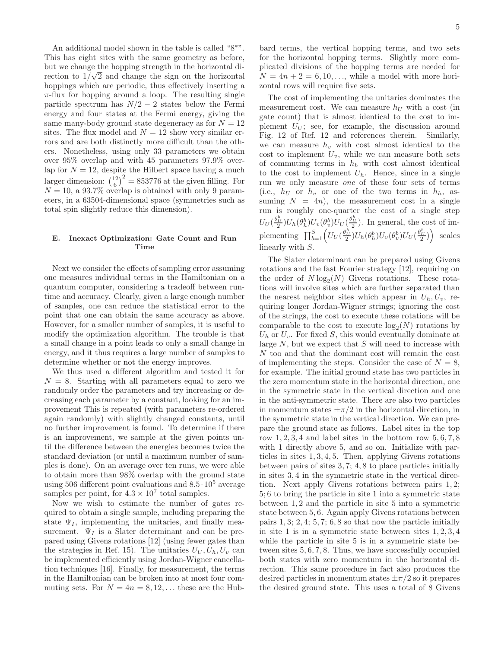An additional model shown in the table is called "8<sup>∗</sup>". This has eight sites with the same geometry as before, but we change the hopping strength in the horizontal direction to  $1/\sqrt{2}$  and change the sign on the horizontal hoppings which are periodic, thus effectively inserting a  $\pi$ -flux for hopping around a loop. The resulting single particle spectrum has  $N/2 - 2$  states below the Fermi energy and four states at the Fermi energy, giving the same many-body ground state degeneracy as for  $N = 12$ sites. The flux model and  $N = 12$  show very similar errors and are both distinctly more difficult than the others. Nonetheless, using only 33 parameters we obtain over 95% overlap and with 45 parameters 97.9% overlap for  $N = 12$ , despite the Hilbert space having a much larger dimension:  $\binom{12}{6}^2 = 853776$  at the given filling. For  $N = 10$ , a 93.7% overlap is obtained with only 9 parameters, in a 63504-dimensional space (symmetries such as total spin slightly reduce this dimension).

# E. Inexact Optimization: Gate Count and Run Time

Next we consider the effects of sampling error assuming one measures individual terms in the Hamiltonian on a quantum computer, considering a tradeoff between runtime and accuracy. Clearly, given a large enough number of samples, one can reduce the statistical error to the point that one can obtain the same accuracy as above. However, for a smaller number of samples, it is useful to modify the optimization algorithm. The trouble is that a small change in a point leads to only a small change in energy, and it thus requires a large number of samples to determine whether or not the energy improves.

We thus used a different algorithm and tested it for  $N = 8$ . Starting with all parameters equal to zero we randomly order the parameters and try increasing or decreasing each parameter by a constant, looking for an improvement This is repeated (with parameters re-ordered again randomly) with slightly changed constants, until no further improvement is found. To determine if there is an improvement, we sample at the given points until the difference between the energies becomes twice the standard deviation (or until a maximum number of samples is done). On an average over ten runs, we were able to obtain more than 98% overlap with the ground state using 506 different point evaluations and  $8.5 \cdot 10^5$  average samples per point, for  $4.3 \times 10^7$  total samples.

Now we wish to estimate the number of gates required to obtain a single sample, including preparing the state  $\Psi_I$ , implementing the unitaries, and finally measurement.  $\Psi_I$  is a Slater determinant and can be prepared using Givens rotations [12] (using fewer gates than the strategies in Ref. 15). The unitaries  $U_U, U_h, U_v$  can be implemented efficiently using Jordan-Wigner cancellation techniques [16]. Finally, for measurement, the terms in the Hamiltonian can be broken into at most four commuting sets. For  $N = 4n = 8, 12, \dots$  these are the Hub-

bard terms, the vertical hopping terms, and two sets for the horizontal hopping terms. Slightly more complicated divisions of the hopping terms are needed for  $N = 4n + 2 = 6, 10, \ldots$ , while a model with more horizontal rows will require five sets.

The cost of implementing the unitaries dominates the measurement cost. We can measure  $h_U$  with a cost (in gate count) that is almost identical to the cost to implement  $U_U$ ; see, for example, the discussion around Fig. 12 of Ref. 12 and references therein. Similarly, we can measure  $h_v$  with cost almost identical to the cost to implement  $U_v$ , while we can measure both sets of commuting terms in  $h_h$  with cost almost identical to the cost to implement  $U_h$ . Hence, since in a single run we only measure one of these four sets of terms (i.e.,  $h_U$  or  $h_v$  or one of the two terms in  $h_h$ , assuming  $N = 4n$ , the measurement cost in a single run is roughly one-quarter the cost of a single step  $U_U(\frac{\theta^b_U}{2})U_h(\theta^b_h)U_v(\theta^b_v)U_U(\frac{\theta^b_U}{2})$ . In general, the cost of implementing  $\prod_{b=1}^{S} \left( U_U \left( \frac{\theta_b^b}{2} \right) U_h(\theta_h^b) U_v(\theta_v^b) U_U \left( \frac{\theta_v^b}{2} \right) \right)$  scales linearly with S.

The Slater determinant can be prepared using Givens rotations and the fast Fourier strategy [12], requiring on the order of  $N \log_2(N)$  Givens rotations. These rotations will involve sites which are further separated than the nearest neighbor sites which appear in  $U_h, U_v$ , requiring longer Jordan-Wigner strings; ignoring the cost of the strings, the cost to execute these rotations will be comparable to the cost to execute  $log_2(N)$  rotations by  $U_h$  or  $U_v$ . For fixed S, this would eventually dominate at large  $N$ , but we expect that  $S$  will need to increase with N too and that the dominant cost will remain the cost of implementing the steps. Consider the case of  $N = 8$ , for example. The initial ground state has two particles in the zero momentum state in the horizontal direction, one in the symmetric state in the vertical direction and one in the anti-symmetric state. There are also two particles in momentum states  $\pm \pi/2$  in the horizontal direction, in the symmetric state in the vertical direction. We can prepare the ground state as follows. Label sites in the top row  $1, 2, 3, 4$  and label sites in the bottom row  $5, 6, 7, 8$ with 1 directly above 5, and so on. Initialize with particles in sites 1, 3, 4, 5. Then, applying Givens rotations between pairs of sites 3, 7; 4, 8 to place particles initially in sites 3, 4 in the symmetric state in the vertical direction. Next apply Givens rotations between pairs 1, 2; 5; 6 to bring the particle in site 1 into a symmetric state between 1, 2 and the particle in site 5 into a symmetric state between 5, 6. Again apply Givens rotations between pairs  $1, 3; 2, 4; 5, 7; 6, 8$  so that now the particle initially in site 1 is in a symmetric state between sites 1, 2, 3, 4 while the particle in site 5 is in a symmetric state between sites 5, 6, 7, 8. Thus, we have successfully occupied both states with zero momentum in the horizontal direction. This same procedure in fact also produces the desired particles in momentum states  $\pm \pi/2$  so it prepares the desired ground state. This uses a total of 8 Givens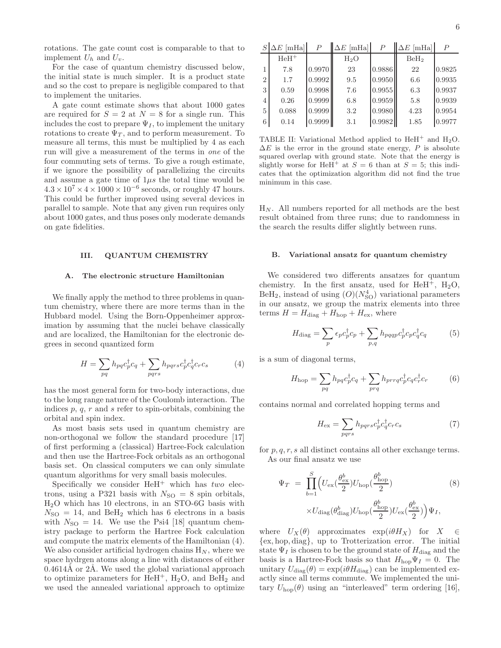rotations. The gate count cost is comparable to that to implement  $U_h$  and  $U_v$ .

For the case of quantum chemistry discussed below, the initial state is much simpler. It is a product state and so the cost to prepare is negligible compared to that to implement the unitaries.

A gate count estimate shows that about 1000 gates are required for  $S = 2$  at  $N = 8$  for a single run. This includes the cost to prepare  $\Psi_I$ , to implement the unitary rotations to create  $\Psi_T$ , and to perform measurement. To measure all terms, this must be multiplied by 4 as each run will give a measurement of the terms in one of the four commuting sets of terms. To give a rough estimate, if we ignore the possibility of parallelizing the circuits and assume a gate time of  $1\mu s$  the total time would be  $4.3 \times 10^7 \times 4 \times 1000 \times 10^{-6}$  seconds, or roughly 47 hours. This could be further improved using several devices in parallel to sample. Note that any given run requires only about 1000 gates, and thus poses only moderate demands on gate fidelities.

# III. QUANTUM CHEMISTRY

#### A. The electronic structure Hamiltonian

We finally apply the method to three problems in quantum chemistry, where there are more terms than in the Hubbard model. Using the Born-Oppenheimer approximation by assuming that the nuclei behave classically and are localized, the Hamiltonian for the electronic degrees in second quantized form

$$
H = \sum_{pq} h_{pq} c_p^{\dagger} c_q + \sum_{pqrs} h_{pqrs} c_p^{\dagger} c_q^{\dagger} c_r c_s \tag{4}
$$

has the most general form for two-body interactions, due to the long range nature of the Coulomb interaction. The indices  $p, q, r$  and  $s$  refer to spin-orbitals, combining the orbital and spin index.

As most basis sets used in quantum chemistry are non-orthogonal we follow the standard procedure [17] of first performing a (classical) Hartree-Fock calculation and then use the Hartree-Fock orbitals as an orthogonal basis set. On classical computers we can only simulate quantum algorithms for very small basis molecules.

Specifically we consider  $HeH<sup>+</sup>$  which has two electrons, using a P321 basis with  $N_{\text{SO}} = 8$  spin orbitals, H2O which has 10 electrons, in an STO-6G basis with  $N<sub>SO</sub> = 14$ , and BeH<sub>2</sub> which has 6 electrons in a basis with  $N_{\rm SO} = 14$ . We use the Psi4 [18] quantum chemistry package to perform the Hartree Fock calculation and compute the matrix elements of the Hamiltonian (4). We also consider artificial hydrogen chains  $H_N$ , where we space hydrgen atoms along a line with distances of either  $0.4614\text{\AA}$  or  $2\text{\AA}$ . We used the global variational approach to optimize parameters for  $HeH^+$ ,  $H_2O$ , and  $BeH_2$  and we used the annealed variational approach to optimize

| S              | $\Delta E$<br>mHal | $\overline{P}$ | $\Delta E$ [mHa] | $\boldsymbol{P}$ | $\Delta E$ [mHa] | $\boldsymbol{P}$ |
|----------------|--------------------|----------------|------------------|------------------|------------------|------------------|
|                | $HeH^+$            |                | $H_2O$           |                  | BeH <sub>2</sub> |                  |
|                | 7.8                | 0.9970         | 23               | 0.9886           | 22               | 0.9825           |
| $\overline{2}$ | 1.7                | 0.9992         | 9.5              | 0.9950           | 6.6              | 0.9935           |
| 3              | 0.59               | 0.9998         | 7.6              | 0.9955           | 6.3              | 0.9937           |
| $\overline{4}$ | 0.26               | 0.9999         | 6.8              | 0.9959           | 5.8              | 0.9939           |
| 5              | 0.088              | 0.9999         | 3.2              | 0.9980           | 4.23             | 0.9954           |
| 6              | 0.14               | 0.9999         | 3.1              | 0.9982           | 1.85             | 0.9977           |

TABLE II: Variational Method applied to  $HeH^+$  and  $H_2O$ .  $\Delta E$  is the error in the ground state energy, P is absolute squared overlap with ground state. Note that the energy is slightly worse for HeH<sup>+</sup> at  $S = 6$  than at  $S = 5$ ; this indicates that the optimization algorithm did not find the true minimum in this case.

 $H_N$ . All numbers reported for all methods are the best result obtained from three runs; due to randomness in the search the results differ slightly between runs.

#### B. Variational ansatz for quantum chemistry

We considered two differents ansatzes for quantum chemistry. In the first ansatz, used for  $HeH^+$ ,  $H_2O$ , BeH<sub>2</sub>, instead of using  $(O)(N_{\text{SO}}^4)$  variational parameters in our ansatz, we group the matrix elements into three terms  $H = H_{\text{diag}} + H_{\text{hop}} + H_{\text{ex}}$ , where

$$
H_{\text{diag}} = \sum_{p} \epsilon_p c_p^{\dagger} c_p + \sum_{p,q} h_{pqqp} c_p^{\dagger} c_p c_q^{\dagger} c_q \tag{5}
$$

is a sum of diagonal terms,

$$
H_{\text{hop}} = \sum_{pq} h_{pq} c_p^{\dagger} c_q + \sum_{prq} h_{prrq} c_p^{\dagger} c_q c_r^{\dagger} c_r \tag{6}
$$

contains normal and correlated hopping terms and

$$
H_{\text{ex}} = \sum_{pqrs} h_{pqrs} c_p^{\dagger} c_q^{\dagger} c_r c_s \tag{7}
$$

for  $p, q, r, s$  all distinct contains all other exchange terms. As our final ansatz we use

$$
\Psi_T = \prod_{b=1}^{S} \left( U_{\text{ex}} \left( \frac{\theta_{\text{ex}}^b}{2} \right) U_{\text{hop}} \left( \frac{\theta_{\text{hop}}^b}{2} \right) \times U_{\text{diag}} \left( \theta_{\text{diag}}^b \right) U_{\text{hop}} \left( \frac{\theta_{\text{hop}}^b}{2} \right) U_{\text{ex}} \left( \frac{\theta_{\text{ex}}^b}{2} \right) \right) \Psi_I,
$$
\n(8)

where  $U_X(\theta)$  approximates  $\exp(i\theta H_X)$  for  $X \in$ {ex, hop, diag}, up to Trotterization error. The initial state  $\Psi_I$  is chosen to be the ground state of  $H_{\text{diag}}$  and the basis is a Hartree-Fock basis so that  $H_{\text{hop}}\Psi_I = 0$ . The unitary  $U_{\text{diag}}(\theta) = \exp(i\theta H_{\text{diag}})$  can be implemented exactly since all terms commute. We implemented the unitary  $U_{\text{hop}}(\theta)$  using an "interleaved" term ordering [16],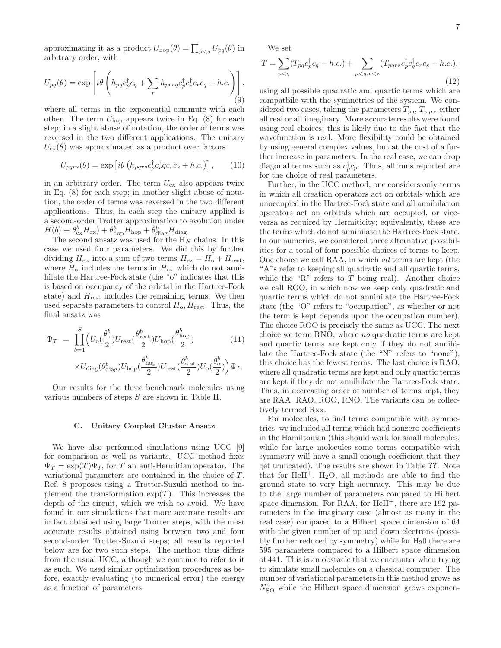approximating it as a product  $U_{\text{hop}}(\theta) = \prod_{p < q} U_{pq}(\theta)$  in arbitrary order, with

$$
U_{pq}(\theta) = \exp\left[i\theta \left(h_{pq}c_p^{\dagger}c_q + \sum_r h_{prrq}c_p^{\dagger}c_r^{\dagger}c_r c_q + h.c.\right)\right],\tag{9}
$$

where all terms in the exponential commute with each other. The term  $U_{\text{hop}}$  appears twice in Eq. (8) for each step; in a slight abuse of notation, the order of terms was reversed in the two different applications. The unitary  $U_{\text{ex}}(\theta)$  was approximated as a product over factors

$$
U_{pqrs}(\theta) = \exp\left[i\theta \left(h_{pqrs}c_p^{\dagger}c_r^{\dagger}qc_r c_s + h.c.\right)\right],\qquad(10)
$$

in an arbitrary order. The term  $U_{\text{ex}}$  also appears twice in Eq. (8) for each step; in another slight abuse of notation, the order of terms was reversed in the two different applications. Thus, in each step the unitary applied is a second-order Trotter approximation to evolution under  $H(b) \equiv \theta_{\rm ex}^b H_{\rm ex}$ ) +  $\theta_{\rm hop}^b H_{\rm hop}$  +  $\theta_{\rm diag}^b H_{\rm diag}$ .

The second ansatz was used for the  $H_N$  chains. In this case we used four parameters. We did this by further dividing  $H_{ex}$  into a sum of two terms  $H_{ex} = H_0 + H_{rest}$ , where  $H_0$  includes the terms in  $H_{\text{ex}}$  which do not annihilate the Hartree-Fock state (the "o" indicates that this is based on occupancy of the orbital in the Hartree-Fock state) and  $H_{\text{rest}}$  includes the remaining terms. We then used separate parameters to control  $H_0, H_{\text{rest}}$ . Thus, the final ansatz was

$$
\Psi_T = \prod_{b=1}^{S} \left( U_o(\frac{\theta_o^b}{2}) U_{\text{rest}}(\frac{\theta_{\text{rest}}^b}{2}) U_{\text{hop}}(\frac{\theta_{\text{hop}}^b}{2}) \right)
$$
\n
$$
\times U_{\text{diag}}(\theta_{\text{diag}}^b) U_{\text{hop}}(\frac{\theta_{\text{hop}}^b}{2}) U_{\text{rest}}(\frac{\theta_{\text{rest}}^b}{2}) U_o(\frac{\theta_o^b}{2}) \right) \Psi_I,
$$
\n(11)

Our results for the three benchmark molecules using various numbers of steps S are shown in Table II.

#### C. Unitary Coupled Cluster Ansatz

We have also performed simulations using UCC [9] for comparison as well as variants. UCC method fixes  $\Psi_T = \exp(T) \Psi_I$ , for T an anti-Hermitian operator. The variational parameters are contained in the choice of T . Ref. 8 proposes using a Trotter-Suzuki method to implement the transformation  $\exp(T)$ . This increases the depth of the circuit, which we wish to avoid. We have found in our simulations that more accurate results are in fact obtained using large Trotter steps, with the most accurate results obtained using between two and four second-order Trotter-Suzuki steps; all results reported below are for two such steps. The method thus differs from the usual UCC, although we continue to refer to it as such. We used similar optimization procedures as before, exactly evaluating (to numerical error) the energy as a function of parameters.

We set

$$
T = \sum_{p < q} (T_{pq} c_p^{\dagger} c_q - h.c.) + \sum_{p < q, r < s} (T_{pqrs} c_p^{\dagger} c_q^{\dagger} c_r c_s - h.c.),\tag{12}
$$

using all possible quadratic and quartic terms which are compatbile with the symmetries of the system. We considered two cases, taking the parameters  $T_{pq}$ ,  $T_{pqrs}$  either all real or all imaginary. More accurate results were found using real choices; this is likely due to the fact that the wavefunction is real. More flexibility could be obtained by using general complex values, but at the cost of a further increase in parameters. In the real case, we can drop diagonal terms such as  $c_p^{\dagger}c_p$ . Thus, all runs reported are for the choice of real parameters.

Further, in the UCC method, one considers only terms in which all creation operators act on orbitals which are unoccupied in the Hartree-Fock state and all annihilation operators act on orbitals which are occupied, or viceversa as required by Hermiticity; equivalently, these are the terms which do not annihilate the Hartree-Fock state. In our numerics, we considered three alternative possibilities for a total of four possible choices of terms to keep. One choice we call RAA, in which all terms are kept (the "A"s refer to keeping all quadratic and all quartic terms, while the "R" refers to  $T$  being real). Another choice we call ROO, in which now we keep only quadratic and quartic terms which do not annihilate the Hartree-Fock state (the "O" refers to "occupation", as whether or not the term is kept depends upon the occupation number). The choice ROO is precisely the same as UCC. The next choice we term RNO, where no quadratic terms are kept and quartic terms are kept only if they do not annihilate the Hartree-Fock state (the "N" refers to "none"); this choice has the fewest terms. The last choice is RAO, where all quadratic terms are kept and only quartic terms are kept if they do not annihilate the Hartree-Fock state. Thus, in decreasing order of number of terms kept, they are RAA, RAO, ROO, RNO. The variants can be collectively termed Rxx.

For molecules, to find terms compatible with symmetries, we included all terms which had nonzero coefficients in the Hamiltonian (this should work for small molecules, while for large molecules some terms compatible with symmetry will have a small enough coefficient that they get truncated). The results are shown in Table ??. Note that for  $HeH^+$ ,  $H_2O$ , all methods are able to find the ground state to very high accuracy. This may be due to the large number of parameters compared to Hilbert space dimension. For RAA, for  $HeH^+$ , there are 192 parameters in the imaginary case (almost as many in the real case) compared to a Hilbert space dimension of 64 with the given number of up and down electrons (possibly further reduced by symmetry) while for  $H<sub>2</sub>0$  there are 595 parameters compared to a Hilbert space dimension of 441. This is an obstacle that we encounter when trying to simulate small molecules on a classical computer. The number of variational parameters in this method grows as  $N_{\rm SO}^4$  while the Hilbert space dimension grows exponen-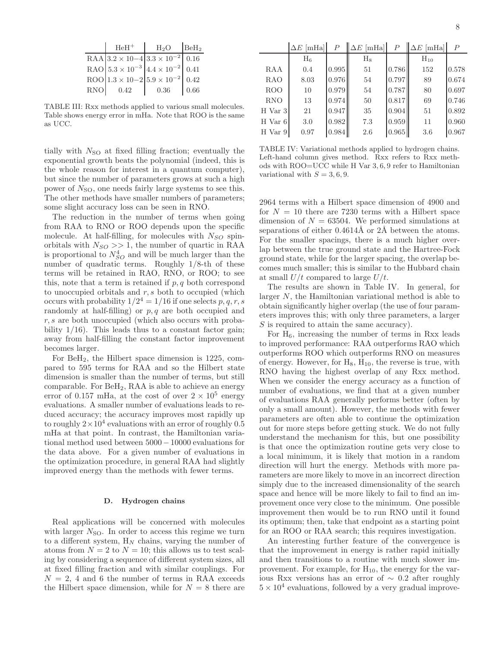|            | $HeH^+$                                            | $H_2O$ | BeH <sub>2</sub> |
|------------|----------------------------------------------------|--------|------------------|
|            | RAA $3.2 \times 10 - 4$ $3.3 \times 10^{-2}$ 0.16  |        |                  |
|            | RAO $5.3 \times 10^{-3}$ 4.4 $\times 10^{-2}$ 0.41 |        |                  |
|            | ROO $1.3 \times 10^{-2}$ $5.9 \times 10^{-2}$      |        | 0.42             |
| <b>RNO</b> | 0.42                                               | 0.36   | 0.66             |

TABLE III: Rxx methods applied to various small molecules. Table shows energy error in mHa. Note that ROO is the same as UCC.

tially with  $N_{\text{SO}}$  at fixed filling fraction; eventually the exponential growth beats the polynomial (indeed, this is the whole reason for interest in a quantum computer), but since the number of parameters grows at such a high power of  $N<sub>SO</sub>$ , one needs fairly large systems to see this. The other methods have smaller numbers of parameters; some slight accuracy loss can be seen in RNO.

The reduction in the number of terms when going from RAA to RNO or ROO depends upon the specific molecule. At half-filling, for molecules with  $N_{SO}$  spinorbitals with  $N_{SO} >> 1$ , the number of quartic in RAA is proportional to  $N_{SO}^4$  and will be much larger than the number of quadratic terms. Roughly 1/8-th of these terms will be retained in RAO, RNO, or ROO; to see this, note that a term is retained if  $p, q$  both correspond to unoccupied orbitals and  $r, s$  both to occupied (which occurs with probability  $1/2^4 = 1/16$  if one selects p, q, r, s randomly at half-filling) or  $p, q$  are both occupied and r, s are both unoccupied (which also occurs with probability  $1/16$ ). This leads thus to a constant factor gain; away from half-filling the constant factor improvement becomes larger.

For  $\text{BeH}_2$ , the Hilbert space dimension is 1225, compared to 595 terms for RAA and so the Hilbert state dimension is smaller than the number of terms, but still comparable. For  $B_2$ , RAA is able to achieve an energy error of 0.157 mHa, at the cost of over  $2 \times 10^5$  energy evaluations. A smaller number of evaluations leads to reduced accuracy; the accuracy improves most rapidly up to roughly  $2 \times 10^4$  evaluations with an error of roughly 0.5 mHa at that point. In contrast, the Hamiltonian variational method used between 5000−10000 evaluations for the data above. For a given number of evaluations in the optimization procedure, in general RAA had slightly improved energy than the methods with fewer terms.

#### D. Hydrogen chains

Real applications will be concerned with molecules with larger  $N<sub>SO</sub>$ . In order to access this regime we turn to a different system,  $H_N$  chains, varying the number of atoms from  $N = 2$  to  $N = 10$ ; this allows us to test scaling by considering a sequence of different system sizes, all at fixed filling fraction and with similar couplings. For  $N = 2$ , 4 and 6 the number of terms in RAA exceeds the Hilbert space dimension, while for  $N = 8$  there are

|             | $\Delta E$<br>mHa | $\boldsymbol{P}$ | $\Delta E$ [mHa] | Р     | $\Delta E$<br>mHa | $\boldsymbol{P}$ |
|-------------|-------------------|------------------|------------------|-------|-------------------|------------------|
|             | $H_6$             |                  | $H_8$            |       | $H_{10}$          |                  |
| RAA         | 0.4               | 0.995            | 51               | 0.786 | 152               | 0.578            |
| <b>RAO</b>  | 8.03              | 0.976            | 54               | 0.797 | 89                | 0.674            |
| <b>ROO</b>  | 10                | 0.979            | 54               | 0.787 | 80                | 0.697            |
| <b>RNO</b>  | 13                | 0.974            | 50               | 0.817 | 69                | 0.746            |
| $H$ Var 3   | 21                | 0.947            | 35               | 0.904 | 51                | 0.892            |
| $H$ Var $6$ | 3.0               | 0.982            | 7.3              | 0.959 | 11                | 0.960            |
| $H$ Var 9   | 0.97              | 0.984            | 2.6              | 0.965 | 3.6               | 0.967            |
|             |                   |                  |                  |       |                   |                  |

TABLE IV: Variational methods applied to hydrogen chains. Left-hand column gives method. Rxx refers to Rxx methods with ROO=UCC while H Var 3, 6, 9 refer to Hamiltonian variational with  $S = 3, 6, 9$ .

2964 terms with a Hilbert space dimension of 4900 and for  $N = 10$  there are 7230 terms with a Hilbert space dimension of  $N = 63504$ . We performed simulations at separations of either 0.4614Å or 2Å between the atoms. For the smaller spacings, there is a much higher overlap between the true ground state and the Hartree-Fock ground state, while for the larger spacing, the overlap becomes much smaller; this is similar to the Hubbard chain at small  $U/t$  compared to large  $U/t$ .

The results are shown in Table IV. In general, for larger N, the Hamiltonian variational method is able to obtain significantly higher overlap (the use of four parameters improves this; with only three parameters, a larger S is required to attain the same accuracy).

For  $H_6$ , increasing the number of terms in Rxx leads to improved performance: RAA outperforms RAO which outperforms ROO which outperforms RNO on measures of energy. However, for  $H_8$ ,  $H_{10}$ , the reverse is true, with RNO having the highest overlap of any Rxx method. When we consider the energy accuracy as a function of number of evaluations, we find that at a given number of evaluations RAA generally performs better (often by only a small amount). However, the methods with fewer parameters are often able to continue the optimization out for more steps before getting stuck. We do not fully understand the mechanism for this, but one possibility is that once the optimization routine gets very close to a local minimum, it is likely that motion in a random direction will hurt the energy. Methods with more parameters are more likely to move in an incorrect direction simply due to the increased dimensionality of the search space and hence will be more likely to fail to find an improvement once very close to the minimum. One possible improvement then would be to run RNO until it found its optimum; then, take that endpoint as a starting point for an ROO or RAA search; this requires investigation.

An interesting further feature of the convergence is that the improvement in energy is rather rapid initially and then transitions to a routine with much slower improvement. For example, for  $H_{10}$ , the energy for the various Rxx versions has an error of ∼ 0.2 after roughly  $5 \times 10^4$  evaluations, followed by a very gradual improve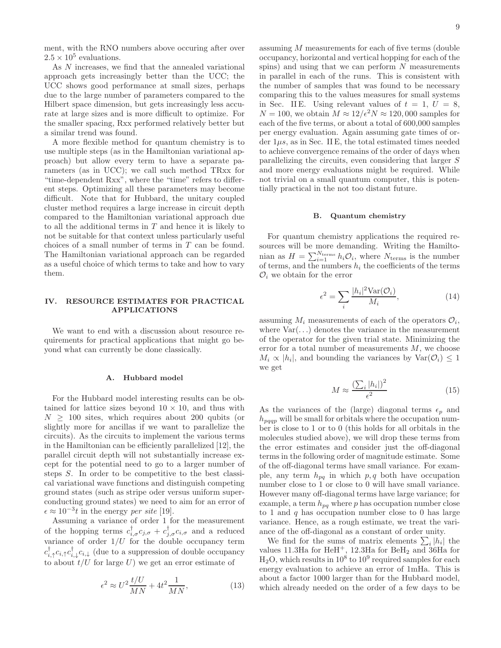ment, with the RNO numbers above occuring after over  $2.5 \times 10^5$  evaluations.

As N increases, we find that the annealed variational approach gets increasingly better than the UCC; the UCC shows good performance at small sizes, perhaps due to the large number of parameters compared to the Hilbert space dimension, but gets increasingly less accurate at large sizes and is more difficult to optimize. For the smaller spacing, Rxx performed relatively better but a similar trend was found.

A more flexible method for quantum chemistry is to use multiple steps (as in the Hamiltonian variational approach) but allow every term to have a separate parameters (as in UCC); we call such method TRxx for "time-dependent Rxx", where the "time" refers to different steps. Optimizing all these parameters may become difficult. Note that for Hubbard, the unitary coupled cluster method requires a large increase in circuit depth compared to the Hamiltonian variational approach due to all the additional terms in  $T$  and hence it is likely to not be suitable for that context unless particularly useful choices of a small number of terms in T can be found. The Hamiltonian variational approach can be regarded as a useful choice of which terms to take and how to vary them.

# IV. RESOURCE ESTIMATES FOR PRACTICAL APPLICATIONS

We want to end with a discussion about resource requirements for practical applications that might go beyond what can currently be done classically.

# A. Hubbard model

For the Hubbard model interesting results can be obtained for lattice sizes beyond  $10 \times 10$ , and thus with  $N \geq 100$  sites, which requires about 200 qubits (or slightly more for ancillas if we want to parallelize the circuits). As the circuits to implement the various terms in the Hamiltonian can be efficiently parallelized [12], the parallel circuit depth will not substantially increase except for the potential need to go to a larger number of steps S. In order to be competitive to the best classical variational wave functions and distinguish competing ground states (such as stripe oder versus uniform superconducting ground states) we need to aim for an error of  $\epsilon \approx 10^{-3}t$  in the energy per site [19].

Assuming a variance of order 1 for the measurement of the hopping terms  $c_{i,\sigma}^{\dagger}c_{j,\sigma}+c_{j,\sigma}^{\dagger}c_{i,\sigma}$  and a reduced variance of order  $1/U$  for the double occupancy term  $c_{i,\uparrow}^{\dagger}c_{i,\uparrow}c_{i,\downarrow}^{\dagger}c_{i,\downarrow}$  (due to a suppression of double occupancy to about  $t/U$  for large U) we get an error estimate of

$$
\epsilon^2 \approx U^2 \frac{t/U}{MN} + 4t^2 \frac{1}{MN},\tag{13}
$$

assuming M measurements for each of five terms (double occupancy, horizontal and vertical hopping for each of the spins) and using that we can perform  $N$  measurements in parallel in each of the runs. This is consistent with the number of samples that was found to be necessary comparing this to the values measures for small systems in Sec. II E. Using relevant values of  $t = 1, U = 8$ ,  $N = 100$ , we obtain  $M \approx 12/\epsilon^2 N \approx 120,000$  samples for each of the five terms, or about a total of 600,000 samples per energy evaluation. Again assuming gate times of order  $1\mu s$ , as in Sec. II E, the total estimated times needed to achieve convergence remains of the order of days when parallelizing the circuits, even considering that larger S and more energy evaluations might be required. While not trivial on a small quantum computer, this is potentially practical in the not too distant future.

#### B. Quantum chemistry

For quantum chemistry applications the required resources will be more demanding. Writing the Hamiltonian as  $H = \sum_{i=1}^{N_{\text{terms}}} h_i \mathcal{O}_i$ , where  $N_{\text{terms}}$  is the number of terms, and the numbers  $\mathcal{h}_i$  the coefficients of the terms  $\mathcal{O}_i$  we obtain for the error

$$
\epsilon^2 = \sum_{i} \frac{|h_i|^2 \text{Var}(\mathcal{O}_i)}{M_i},\tag{14}
$$

assuming  $M_i$  measurements of each of the operators  $\mathcal{O}_i$ , where  $Var(...)$  denotes the variance in the measurement of the operator for the given trial state. Minimizing the error for a total number of measurements  $M$ , we choose  $M_i \propto |h_i|$ , and bounding the variances by  $\text{Var}(\mathcal{O}_i) \leq 1$ we get

$$
M \approx \frac{\left(\sum_{i} |h_{i}|\right)^{2}}{\epsilon^{2}} \tag{15}
$$

As the variances of the (large) diagonal terms  $\epsilon_p$  and  $h_{pqqp}$  will be small for orbitals where the occupation number is close to 1 or to 0 (this holds for all orbitals in the molecules studied above), we will drop these terms from the error estimates and consider just the off-diagonal terms in the following order of magnitude estimate. Some of the off-diagonal terms have small variance. For example, any term  $h_{pq}$  in which  $p, q$  both have occupation number close to 1 or close to 0 will have small variance. However many off-diagonal terms have large variance; for example, a term  $h_{pq}$  where p has occupation number close to 1 and  $q$  has occupation number close to 0 has large variance. Hence, as a rough estimate, we treat the variance of the off-diagonal as a constant of order unity.

We find for the sums of matrix elements  $\sum_i |h_i|$  the values 11.3Ha for HeH<sup>+</sup>, 12.3Ha for BeH<sub>2</sub> and 36Ha for  $H<sub>2</sub>O$ , which results in  $10<sup>8</sup>$  to  $10<sup>9</sup>$  required samples for each energy evaluation to achieve an error of 1mHa. This is about a factor 1000 larger than for the Hubbard model, which already needed on the order of a few days to be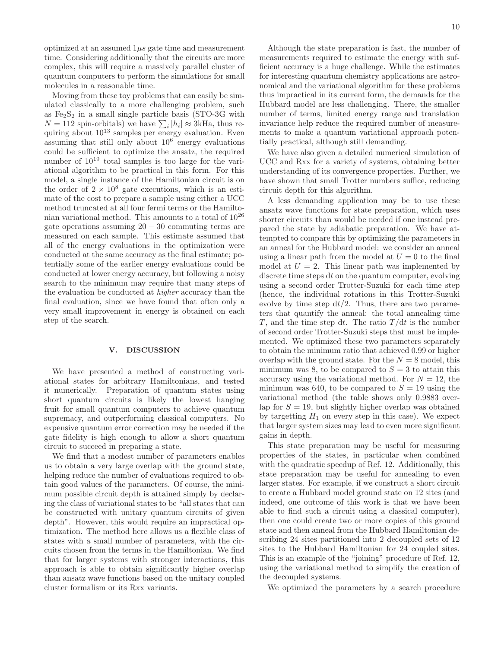optimized at an assumed  $1\mu s$  gate time and measurement time. Considering additionally that the circuits are more complex, this will require a massively parallel cluster of quantum computers to perform the simulations for small molecules in a reasonable time.

Moving from these toy problems that can easily be simulated classically to a more challenging problem, such as  $Fe<sub>2</sub>S<sub>2</sub>$  in a small single particle basis (STO-3G with  $N = 112$  spin-orbitals) we have  $\sum_i |h_i| \approx 3$  kHa, thus requiring about  $10^{13}$  samples per energy evaluation. Even assuming that still only about  $10^6$  energy evaluations could be sufficient to optimize the ansatz, the required number of  $10^{19}$  total samples is too large for the variational algorithm to be practical in this form. For this model, a single instance of the Hamiltonian circuit is on the order of  $2 \times 10^8$  gate executions, which is an estimate of the cost to prepare a sample using either a UCC method truncated at all four fermi terms or the Hamiltonian variational method. This amounts to a total of  $10^{26}$ gate operations assuming  $20 - 30$  commuting terms are measured on each sample. This estimate assumed that all of the energy evaluations in the optimization were conducted at the same accuracy as the final estimate; potentially some of the earlier energy evaluations could be conducted at lower energy accuracy, but following a noisy search to the minimum may require that many steps of the evaluation be conducted at higher accuracy than the final evaluation, since we have found that often only a very small improvement in energy is obtained on each step of the search.

### V. DISCUSSION

We have presented a method of constructing variational states for arbitrary Hamiltonians, and tested it numerically. Preparation of quantum states using short quantum circuits is likely the lowest hanging fruit for small quantum computers to achieve quantum supremacy, and outperforming classical computers. No expensive quantum error correction may be needed if the gate fidelity is high enough to allow a short quantum circuit to succeed in preparing a state.

We find that a modest number of parameters enables us to obtain a very large overlap with the ground state, helping reduce the number of evaluations required to obtain good values of the parameters. Of course, the minimum possible circuit depth is attained simply by declaring the class of variational states to be "all states that can be constructed with unitary quantum circuits of given depth". However, this would require an impractical optimization. The method here allows us a flexible class of states with a small number of parameters, with the circuits chosen from the terms in the Hamiltonian. We find that for larger systems with stronger interactions, this approach is able to obtain significantly higher overlap than ansatz wave functions based on the unitary coupled cluster formalism or its Rxx variants.

Although the state preparation is fast, the number of measurements required to estimate the energy with sufficient accuracy is a huge challenge. While the estimates for interesting quantum chemistry applications are astronomical and the variational algorithm for these problems thus impractical in its current form, the demands for the Hubbard model are less challenging. There, the smaller number of terms, limited energy range and translation invariance help reduce the required number of measurements to make a quantum variational approach potentially practical, although still demanding.

We have also given a detailed numerical simulation of UCC and Rxx for a variety of systems, obtaining better understanding of its convergence properties. Further, we have shown that small Trotter numbers suffice, reducing circuit depth for this algorithm.

A less demanding application may be to use these ansatz wave functions for state preparation, which uses shorter circuits than would be needed if one instead prepared the state by adiabatic preparation. We have attempted to compare this by optimizing the parameters in an anneal for the Hubbard model: we consider an anneal using a linear path from the model at  $U = 0$  to the final model at  $U = 2$ . This linear path was implemented by discrete time steps dt on the quantum computer, evolving using a second order Trotter-Suzuki for each time step (hence, the individual rotations in this Trotter-Suzuki evolve by time step  $dt/2$ . Thus, there are two parameters that quantify the anneal: the total annealing time T, and the time step dt. The ratio  $T/dt$  is the number of second order Trotter-Suzuki steps that must be implemented. We optimized these two parameters separately to obtain the minimum ratio that achieved 0.99 or higher overlap with the ground state. For the  $N = 8$  model, this minimum was 8, to be compared to  $S = 3$  to attain this accuracy using the variational method. For  $N = 12$ , the minimum was 640, to be compared to  $S = 19$  using the variational method (the table shows only 0.9883 overlap for  $S = 19$ , but slightly higher overlap was obtained by targetting  $H_1$  on every step in this case). We expect that larger system sizes may lead to even more significant gains in depth.

This state preparation may be useful for measuring properties of the states, in particular when combined with the quadratic speedup of Ref. 12. Additionally, this state preparation may be useful for annealing to even larger states. For example, if we construct a short circuit to create a Hubbard model ground state on 12 sites (and indeed, one outcome of this work is that we have been able to find such a circuit using a classical computer), then one could create two or more copies of this ground state and then anneal from the Hubbard Hamiltonian describing 24 sites partitioned into 2 decoupled sets of 12 sites to the Hubbard Hamiltonian for 24 coupled sites. This is an example of the "joining" procedure of Ref. 12, using the variational method to simplify the creation of the decoupled systems.

We optimized the parameters by a search procedure